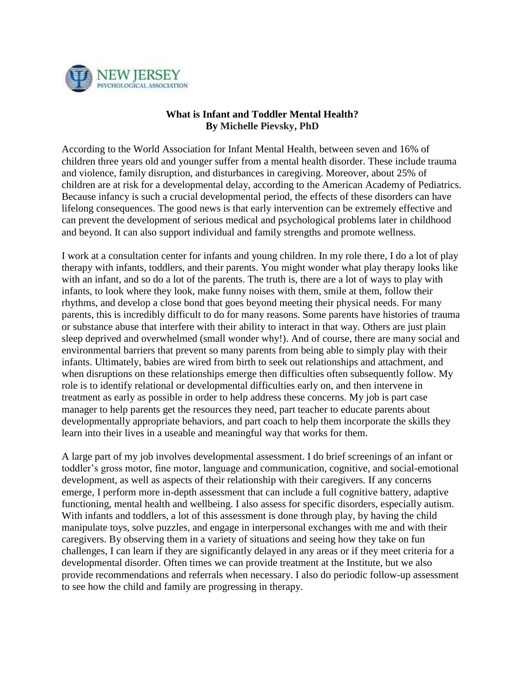

## **What is Infant and Toddler Mental Health? By Michelle Pievsky, PhD**

According to the World Association for Infant Mental Health, between seven and 16% of children three years old and younger suffer from a mental health disorder. These include trauma and violence, family disruption, and disturbances in caregiving. Moreover, about 25% of children are at risk for a developmental delay, according to the American Academy of Pediatrics. Because infancy is such a crucial developmental period, the effects of these disorders can have lifelong consequences. The good news is that early intervention can be extremely effective and can prevent the development of serious medical and psychological problems later in childhood and beyond. It can also support individual and family strengths and promote wellness.

I work at a consultation center for infants and young children. In my role there, I do a lot of play therapy with infants, toddlers, and their parents. You might wonder what play therapy looks like with an infant, and so do a lot of the parents. The truth is, there are a lot of ways to play with infants, to look where they look, make funny noises with them, smile at them, follow their rhythms, and develop a close bond that goes beyond meeting their physical needs. For many parents, this is incredibly difficult to do for many reasons. Some parents have histories of trauma or substance abuse that interfere with their ability to interact in that way. Others are just plain sleep deprived and overwhelmed (small wonder why!). And of course, there are many social and environmental barriers that prevent so many parents from being able to simply play with their infants. Ultimately, babies are wired from birth to seek out relationships and attachment, and when disruptions on these relationships emerge then difficulties often subsequently follow. My role is to identify relational or developmental difficulties early on, and then intervene in treatment as early as possible in order to help address these concerns. My job is part case manager to help parents get the resources they need, part teacher to educate parents about developmentally appropriate behaviors, and part coach to help them incorporate the skills they learn into their lives in a useable and meaningful way that works for them.

A large part of my job involves developmental assessment. I do brief screenings of an infant or toddler's gross motor, fine motor, language and communication, cognitive, and social-emotional development, as well as aspects of their relationship with their caregivers. If any concerns emerge, I perform more in-depth assessment that can include a full cognitive battery, adaptive functioning, mental health and wellbeing. I also assess for specific disorders, especially autism. With infants and toddlers, a lot of this assessment is done through play, by having the child manipulate toys, solve puzzles, and engage in interpersonal exchanges with me and with their caregivers. By observing them in a variety of situations and seeing how they take on fun challenges, I can learn if they are significantly delayed in any areas or if they meet criteria for a developmental disorder. Often times we can provide treatment at the Institute, but we also provide recommendations and referrals when necessary. I also do periodic follow-up assessment to see how the child and family are progressing in therapy.